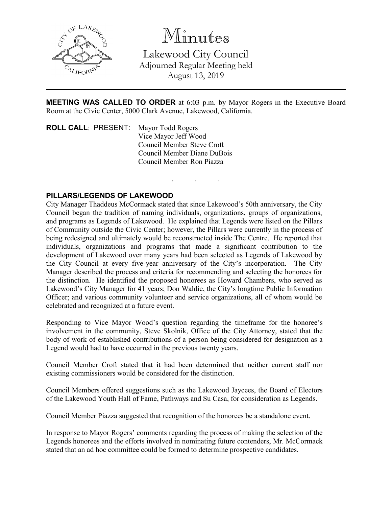

Minutes

Lakewood City Council Adjourned Regular Meeting held August 13, 2019

**MEETING WAS CALLED TO ORDER** at 6:03 p.m. by Mayor Rogers in the Executive Board Room at the Civic Center, 5000 Clark Avenue, Lakewood, California.

. . .

**ROLL CALL**: PRESENT: Mayor Todd Rogers Vice Mayor Jeff Wood Council Member Steve Croft Council Member Diane DuBois Council Member Ron Piazza

## **PILLARS/LEGENDS OF LAKEWOOD**

City Manager Thaddeus McCormack stated that since Lakewood's 50th anniversary, the City Council began the tradition of naming individuals, organizations, groups of organizations, and programs as Legends of Lakewood. He explained that Legends were listed on the Pillars of Community outside the Civic Center; however, the Pillars were currently in the process of being redesigned and ultimately would be reconstructed inside The Centre. He reported that individuals, organizations and programs that made a significant contribution to the development of Lakewood over many years had been selected as Legends of Lakewood by the City Council at every five-year anniversary of the City's incorporation. The City Manager described the process and criteria for recommending and selecting the honorees for the distinction. He identified the proposed honorees as Howard Chambers, who served as Lakewood's City Manager for 41 years; Don Waldie, the City's longtime Public Information Officer; and various community volunteer and service organizations, all of whom would be celebrated and recognized at a future event.

Responding to Vice Mayor Wood's question regarding the timeframe for the honoree's involvement in the community, Steve Skolnik, Office of the City Attorney, stated that the body of work of established contributions of a person being considered for designation as a Legend would had to have occurred in the previous twenty years.

Council Member Croft stated that it had been determined that neither current staff nor existing commissioners would be considered for the distinction.

Council Members offered suggestions such as the Lakewood Jaycees, the Board of Electors of the Lakewood Youth Hall of Fame, Pathways and Su Casa, for consideration as Legends.

Council Member Piazza suggested that recognition of the honorees be a standalone event.

In response to Mayor Rogers' comments regarding the process of making the selection of the Legends honorees and the efforts involved in nominating future contenders, Mr. McCormack stated that an ad hoc committee could be formed to determine prospective candidates.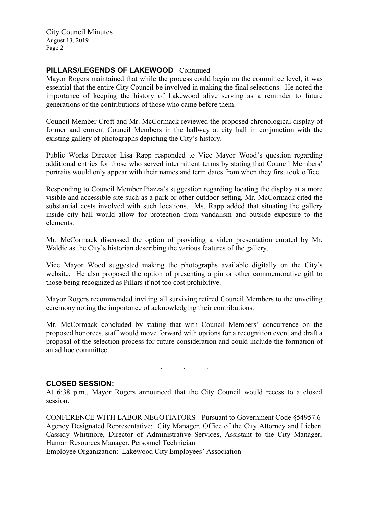City Council Minutes August 13, 2019 Page 2

#### **PILLARS/LEGENDS OF LAKEWOOD** - Continued

Mayor Rogers maintained that while the process could begin on the committee level, it was essential that the entire City Council be involved in making the final selections. He noted the importance of keeping the history of Lakewood alive serving as a reminder to future generations of the contributions of those who came before them.

Council Member Croft and Mr. McCormack reviewed the proposed chronological display of former and current Council Members in the hallway at city hall in conjunction with the existing gallery of photographs depicting the City's history.

Public Works Director Lisa Rapp responded to Vice Mayor Wood's question regarding additional entries for those who served intermittent terms by stating that Council Members' portraits would only appear with their names and term dates from when they first took office.

Responding to Council Member Piazza's suggestion regarding locating the display at a more visible and accessible site such as a park or other outdoor setting, Mr. McCormack cited the substantial costs involved with such locations. Ms. Rapp added that situating the gallery inside city hall would allow for protection from vandalism and outside exposure to the elements.

Mr. McCormack discussed the option of providing a video presentation curated by Mr. Waldie as the City's historian describing the various features of the gallery.

Vice Mayor Wood suggested making the photographs available digitally on the City's website. He also proposed the option of presenting a pin or other commemorative gift to those being recognized as Pillars if not too cost prohibitive.

Mayor Rogers recommended inviting all surviving retired Council Members to the unveiling ceremony noting the importance of acknowledging their contributions.

Mr. McCormack concluded by stating that with Council Members' concurrence on the proposed honorees, staff would move forward with options for a recognition event and draft a proposal of the selection process for future consideration and could include the formation of an ad hoc committee.

#### **CLOSED SESSION:**

At 6:38 p.m., Mayor Rogers announced that the City Council would recess to a closed session.

. . .

CONFERENCE WITH LABOR NEGOTIATORS - Pursuant to Government Code §54957.6 Agency Designated Representative: City Manager, Office of the City Attorney and Liebert Cassidy Whitmore, Director of Administrative Services, Assistant to the City Manager, Human Resources Manager, Personnel Technician

Employee Organization: Lakewood City Employees' Association